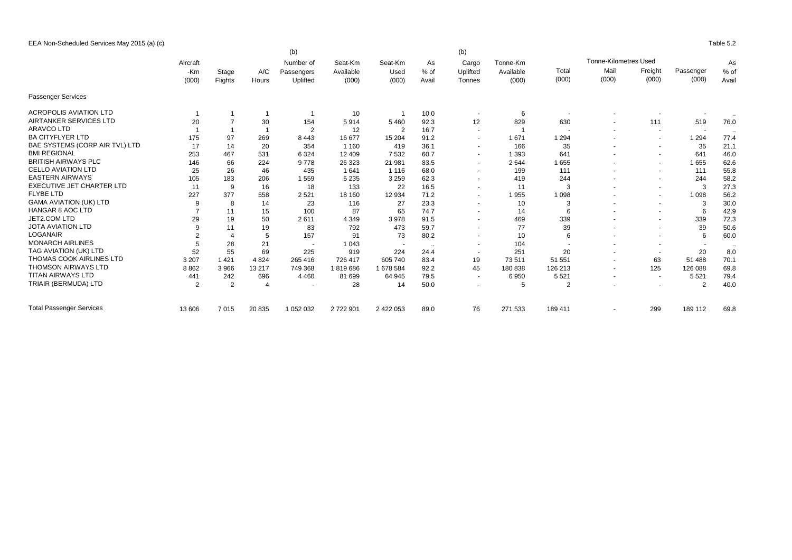| EEA Non-Scheduled Services May 2015 (a) (c) | Table 5.2 |
|---------------------------------------------|-----------|
|                                             |           |

|                                  |                |         |                | (b)                     |                      |                          |            | (b)                      |           |                |                              |                          |                |           |
|----------------------------------|----------------|---------|----------------|-------------------------|----------------------|--------------------------|------------|--------------------------|-----------|----------------|------------------------------|--------------------------|----------------|-----------|
|                                  | Aircraft       |         |                | Number of<br>Passengers | Seat-Km<br>Available | Seat-Km<br>Used          | As<br>% of | Cargo                    | Tonne-Km  |                | <b>Tonne-Kilometres Used</b> |                          |                | As        |
|                                  | -Km            | Stage   | A/C            |                         |                      |                          |            | Uplifted                 | Available | Total          | Mail                         | Freight                  | Passenger      | % of      |
|                                  | (000)          | Flights | Hours          | Uplifted                | (000)                | (000)                    | Avail      | Tonnes                   | (000)     | (000)          | (000)                        | (000)                    | (000)          | Avail     |
| Passenger Services               |                |         |                |                         |                      |                          |            |                          |           |                |                              |                          |                |           |
| <b>ACROPOLIS AVIATION LTD</b>    |                |         |                |                         | 10                   |                          | 10.0       | $\sim$                   | 6         |                |                              |                          |                | $\ddotsc$ |
| AIRTANKER SERVICES LTD           | 20             |         | 30             | 154                     | 5914                 | 5 4 6 0                  | 92.3       | 12                       | 829       | 630            |                              | 111                      | 519            | 76.0      |
| <b>ARAVCO LTD</b>                |                |         |                | $\overline{2}$          | 12                   | $\overline{2}$           | 16.7       | $\sim$                   |           | $\overline{a}$ |                              | $\sim$                   | $\sim$         | $\ddotsc$ |
| <b>BA CITYFLYER LTD</b>          | 175            | 97      | 269            | 8 4 4 3                 | 16 677               | 15 204                   | 91.2       |                          | 1671      | 1 2 9 4        |                              |                          | 1 2 9 4        | 77.4      |
| BAE SYSTEMS (CORP AIR TVL) LTD   | 17             | 14      | 20             | 354                     | 1 1 6 0              | 419                      | 36.1       | $\sim$                   | 166       | 35             |                              | $\sim$                   | 35             | 21.1      |
| <b>BMI REGIONAL</b>              | 253            | 467     | 531            | 6 3 2 4                 | 12 409               | 7532                     | 60.7       | $\sim$                   | 1 3 9 3   | 641            |                              | $\overline{\phantom{a}}$ | 641            | 46.0      |
| <b>BRITISH AIRWAYS PLC</b>       | 146            | 66      | 224            | 9778                    | 26 323               | 21 981                   | 83.5       | $\sim$                   | 2644      | 1655           |                              | $\sim$                   | 1655           | 62.6      |
| <b>CELLO AVIATION LTD</b>        | 25             | 26      | 46             | 435                     | 1641                 | 1 1 1 6                  | 68.0       | $\overline{\phantom{a}}$ | 199       | 111            |                              | $\overline{\phantom{a}}$ | 111            | 55.8      |
| <b>EASTERN AIRWAYS</b>           | 105            | 183     | 206            | 1559                    | 5 2 3 5              | 3 2 5 9                  | 62.3       | $\sim$                   | 419       | 244            |                              | $\sim$                   | 244            | 58.2      |
| <b>EXECUTIVE JET CHARTER LTD</b> | 11             | 9       | 16             | 18                      | 133                  | 22                       | 16.5       | $\sim$                   | 11        | 3              |                              | $\sim$                   | 3              | 27.3      |
| <b>FLYBE LTD</b>                 | 227            | 377     | 558            | 2521                    | 18 160               | 12 934                   | 71.2       | $\sim$                   | 1955      | 1 0 9 8        |                              | $\overline{a}$           | 1 0 9 8        | 56.2      |
| <b>GAMA AVIATION (UK) LTD</b>    | -9             | 8       | 14             | 23                      | 116                  | 27                       | 23.3       | $\sim$                   | 10        | 3              |                              | $\sim$                   | 3              | 30.0      |
| <b>HANGAR 8 AOC LTD</b>          |                | 11      | 15             | 100                     | 87                   | 65                       | 74.7       | $\sim$                   | 14        | 6              |                              |                          | 6              | 42.9      |
| JET2.COM LTD                     | 29             | 19      | 50             | 2611                    | 4 3 4 9              | 3978                     | 91.5       | $\sim$                   | 469       | 339            |                              | $\sim$                   | 339            | 72.3      |
| <b>JOTA AVIATION LTD</b>         | 9              | 11      | 19             | 83                      | 792                  | 473                      | 59.7       |                          | 77        | 39             |                              | $\overline{\phantom{a}}$ | 39             | 50.6      |
| LOGANAIR                         |                | Δ       | 5              | 157                     | 91                   | 73                       | 80.2       | $\sim$                   | 10        | 6              |                              | $\overline{a}$           | 6              | 60.0      |
| <b>MONARCH AIRLINES</b>          |                | 28      | 21             | $\sim$                  | 1 0 4 3              | $\overline{\phantom{a}}$ | $\sim$     | $\overline{\phantom{a}}$ | 104       |                |                              | $\sim$                   | $\sim$         | $\cdot$ . |
| TAG AVIATION (UK) LTD            | 52             | 55      | 69             | 225                     | 919                  | 224                      | 24.4       |                          | 251       | 20             |                              |                          | 20             | 8.0       |
| THOMAS COOK AIRLINES LTD         | 3 2 0 7        | 1 4 2 1 | 4 8 24         | 265 416                 | 726 417              | 605 740                  | 83.4       | 19                       | 73511     | 51 551         | $\sim$                       | 63                       | 51 488         | 70.1      |
| <b>THOMSON AIRWAYS LTD</b>       | 8862           | 3966    | 13 217         | 749 368                 | 1819686              | 1 678 584                | 92.2       | 45                       | 180838    | 126 213        |                              | 125                      | 126 088        | 69.8      |
| <b>TITAN AIRWAYS LTD</b>         | 441            | 242     | 696            | 4 4 6 0                 | 81 699               | 64 945                   | 79.5       | $\sim$                   | 6950      | 5521           |                              | $\sim$                   | 5 5 21         | 79.4      |
| TRIAIR (BERMUDA) LTD             | $\overline{2}$ | 2       | $\overline{4}$ |                         | 28                   | 14                       | 50.0       |                          | 5         | $\overline{2}$ |                              |                          | $\overline{2}$ | 40.0      |
| <b>Total Passenger Services</b>  | 13 606         | 7015    | 20 835         | 1 052 032               | 2722901              | 2 422 053                | 89.0       | 76                       | 271 533   | 189 411        |                              | 299                      | 189 112        | 69.8      |